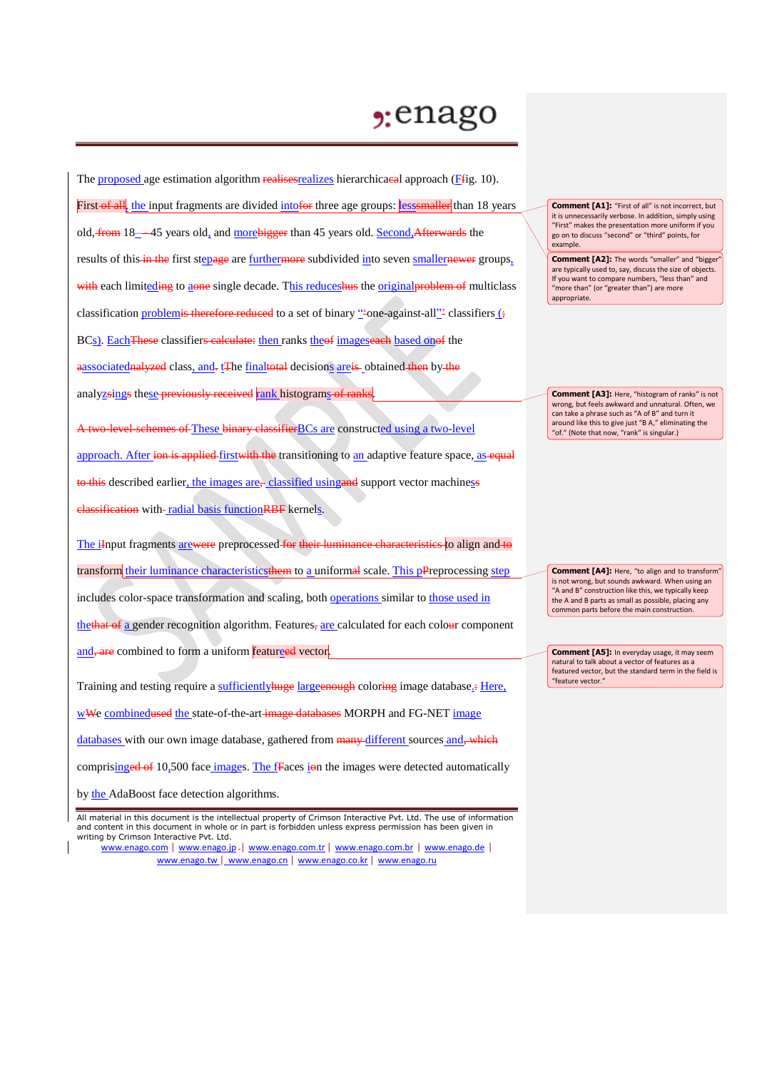## $2:$ enago

The proposed age estimation algorithm realises realizes hierarchicacal approach (Ffig. 10). First of all, the input fragments are divided into for three age groups: **less maller** than 18 years old, from 18-45 years old, and more bigger than 45 years old. Second, Afterwards the results of this in the first stepage are furthermore subdivided into seven smallernewer groups, with each limiteding to aone single decade. This reduceshus the original problem of multiclass classification problemis therefore reduced to a set of binary "-one-against-all"- classifiers (; BCs). EachThese classifiers calculate: then ranks theof imageseach based onof the aassociatednalyzed class, and. tThe finaltotal decisions are is obtained then by the analyzsings these previously received rank histograms of ranks.

A two-level-schemes of These binary classifier BCs are constructed using a two-level approach. After ion is applied first with the transitioning to an adaptive feature space, as equal to this described earlier, the images are, classified using and support vector machiness classification with-radial basis function RBF kernels.

The iInput fragments arewere preprocessed for their luminance characteristics to align and to transform their luminance characteristicsthem to a uniformal scale. This pPreprocessing step

includes color-space transformation and scaling, both operations similar to those used in

thethat of a gender recognition algorithm. Features, are calculated for each colour component

and, are combined to form a uniform featureed vector.

Training and testing require a sufficiently huge large enough coloring image database.: Here,

wWe combinedused the state-of-the-art image databases MORPH and FG-NET image

databases with our own image database, gathered from many different sources and, which

comprisinged of 10,500 face images. The fFaces ion the images were detected automatically

by the AdaBoost face detection algorithms.

All material in this document is the intellectual property of Crimson Interactive Pvt. Ltd. The use of information and content in this document in whole or in part is forbidden unless express permission has been given in writing by Crimson Interactive Pvt. Ltd.

www.enago.com | www.enago.jp - | www.enago.com.tr | www.enago.com.br | www.enago.de | www.enago.tw | www.enago.cn | www.enago.co.kr | www.enago.ru

**Comment [A1]:** "First of all" is not incorrect, but it is unnecessarily verbose. In addition, simply using "First" makes the presentation more uniform if you go on to discuss "second" or "third" points, for example.

**Comment [A2]:** The words "smaller" and "bigger are typically used to, say, discuss the size of objects. If you want to compare numbers, "less than" and "more than" (or "greater than") are more appropriate.

**Comment [A3]:** Here, "histogram of ranks" is not wrong, but feels awkward and unnatural. Often, we can take a phrase such as "A of B" and turn it around like this to give just "B A," eliminating the "of." (Note that now, "rank" is singular.)

**Comment [A4]:** Here, "to align and to transform is not wrong, but sounds awkward. When using an "A and B" construction like this, we typically keep the A and B parts as small as possible, placing any common parts before the main construction.

**Comment [A5]:** In everyday usage, it may seem natural to talk about a vector of features as a featured vector, but the standard term in the field is "feature vector."